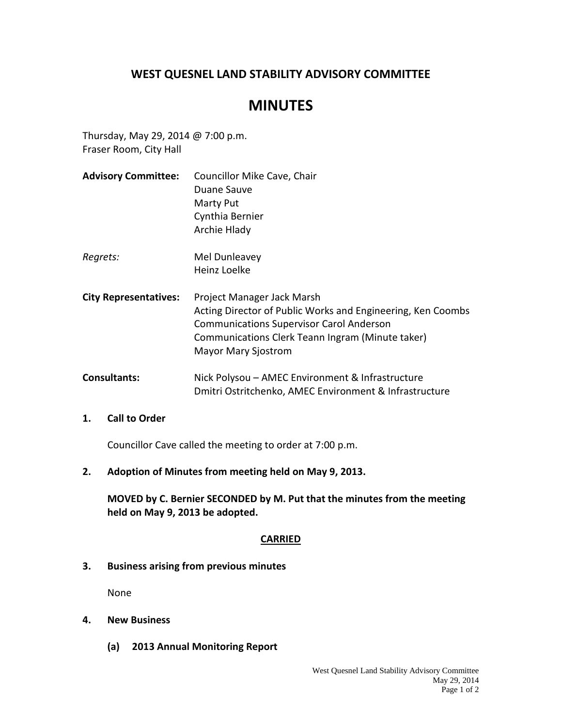## **WEST QUESNEL LAND STABILITY ADVISORY COMMITTEE**

# **MINUTES**

Thursday, May 29, 2014 @ 7:00 p.m. Fraser Room, City Hall

**Advisory Committee:** Councillor Mike Cave, Chair Duane Sauve Marty Put Cynthia Bernier Archie Hlady *Regrets:* Mel Dunleavey Heinz Loelke **City Representatives:** Project Manager Jack Marsh Acting Director of Public Works and Engineering, Ken Coombs Communications Supervisor Carol Anderson Communications Clerk Teann Ingram (Minute taker) Mayor Mary Sjostrom **Consultants:** Nick Polysou – AMEC Environment & Infrastructure Dmitri Ostritchenko, AMEC Environment & Infrastructure

#### **1. Call to Order**

Councillor Cave called the meeting to order at 7:00 p.m.

**2. Adoption of Minutes from meeting held on May 9, 2013.**

**MOVED by C. Bernier SECONDED by M. Put that the minutes from the meeting held on May 9, 2013 be adopted.**

#### **CARRIED**

**3. Business arising from previous minutes**

None

- **4. New Business**
	- **(a) 2013 Annual Monitoring Report**